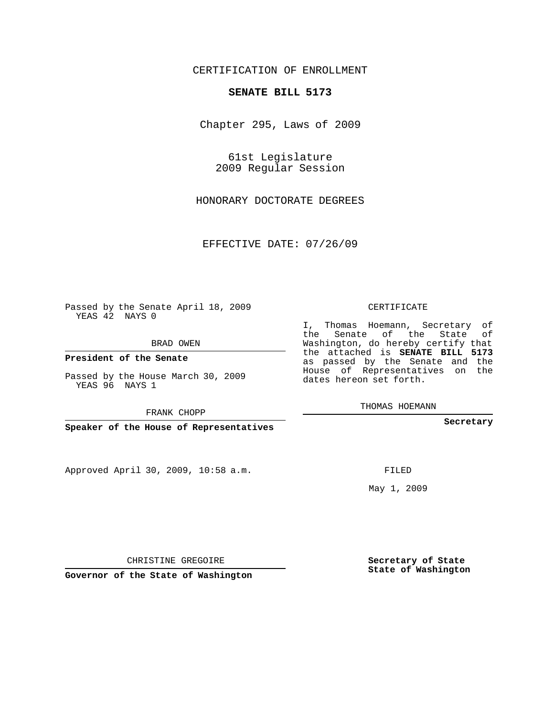## CERTIFICATION OF ENROLLMENT

### **SENATE BILL 5173**

Chapter 295, Laws of 2009

61st Legislature 2009 Regular Session

HONORARY DOCTORATE DEGREES

EFFECTIVE DATE: 07/26/09

Passed by the Senate April 18, 2009 YEAS 42 NAYS 0

BRAD OWEN

**President of the Senate**

Passed by the House March 30, 2009 YEAS 96 NAYS 1

FRANK CHOPP

**Speaker of the House of Representatives**

Approved April 30, 2009, 10:58 a.m.

CERTIFICATE

I, Thomas Hoemann, Secretary of the Senate of the State of Washington, do hereby certify that the attached is **SENATE BILL 5173** as passed by the Senate and the House of Representatives on the dates hereon set forth.

THOMAS HOEMANN

**Secretary**

FILED

May 1, 2009

**Secretary of State State of Washington**

CHRISTINE GREGOIRE

**Governor of the State of Washington**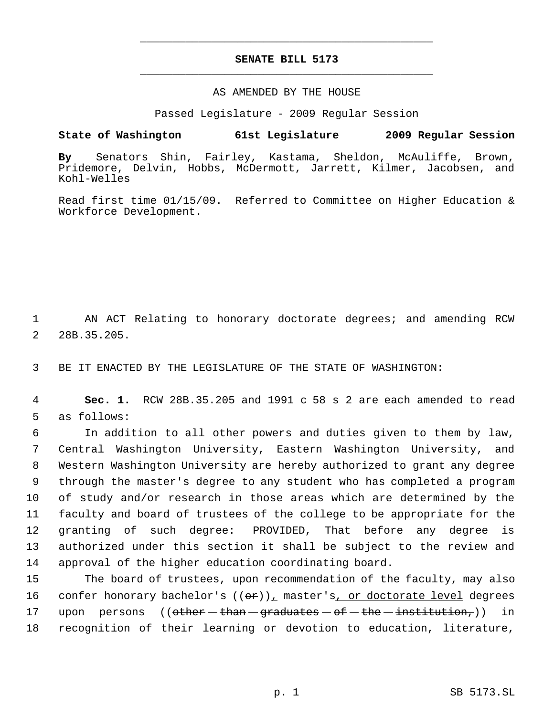# **SENATE BILL 5173** \_\_\_\_\_\_\_\_\_\_\_\_\_\_\_\_\_\_\_\_\_\_\_\_\_\_\_\_\_\_\_\_\_\_\_\_\_\_\_\_\_\_\_\_\_

\_\_\_\_\_\_\_\_\_\_\_\_\_\_\_\_\_\_\_\_\_\_\_\_\_\_\_\_\_\_\_\_\_\_\_\_\_\_\_\_\_\_\_\_\_

### AS AMENDED BY THE HOUSE

Passed Legislature - 2009 Regular Session

## **State of Washington 61st Legislature 2009 Regular Session**

**By** Senators Shin, Fairley, Kastama, Sheldon, McAuliffe, Brown, Pridemore, Delvin, Hobbs, McDermott, Jarrett, Kilmer, Jacobsen, and Kohl-Welles

Read first time 01/15/09. Referred to Committee on Higher Education & Workforce Development.

 1 AN ACT Relating to honorary doctorate degrees; and amending RCW 2 28B.35.205.

3 BE IT ENACTED BY THE LEGISLATURE OF THE STATE OF WASHINGTON:

 4 **Sec. 1.** RCW 28B.35.205 and 1991 c 58 s 2 are each amended to read 5 as follows:

 In addition to all other powers and duties given to them by law, Central Washington University, Eastern Washington University, and Western Washington University are hereby authorized to grant any degree through the master's degree to any student who has completed a program of study and/or research in those areas which are determined by the faculty and board of trustees of the college to be appropriate for the granting of such degree: PROVIDED, That before any degree is authorized under this section it shall be subject to the review and approval of the higher education coordinating board.

15 The board of trustees, upon recommendation of the faculty, may also 16 confer honorary bachelor's  $((\theta \hat{r}))_L$  master's, or doctorate level degrees 17 upon persons (( $\theta$ ther  $-\theta$ than  $-\theta$  graduates  $-\theta$   $-\theta$  the  $-\theta$  institution,)) in 18 recognition of their learning or devotion to education, literature,